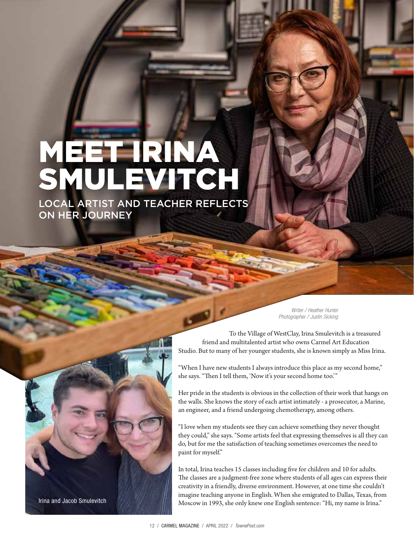## MEET IRINA SMULEVITCH

LOCAL ARTIST AND TEACHER REFLECTS ON HER JOURNEY

> *Writer / Heather Hunter Photographer / Justin Sicking*

To the Village of WestClay, Irina Smulevitch is a treasured friend and multitalented artist who owns Carmel Art Education Studio. But to many of her younger students, she is known simply as Miss Irina.

"When I have new students I always introduce this place as my second home," she says. "Then I tell them, 'Now it's your second home too.'"

Her pride in the students is obvious in the collection of their work that hangs on the walls. She knows the story of each artist intimately - a prosecutor, a Marine, an engineer, and a friend undergoing chemotherapy, among others.

"I love when my students see they can achieve something they never thought they could," she says. "Some artists feel that expressing themselves is all they can do, but for me the satisfaction of teaching sometimes overcomes the need to paint for myself."

In total, Irina teaches 15 classes including five for children and 10 for adults. The classes are a judgment-free zone where students of all ages can express their creativity in a friendly, diverse environment. However, at one time she couldn't imagine teaching anyone in English. When she emigrated to Dallas, Texas, from Moscow in 1993, she only knew one English sentence: "Hi, my name is Irina."

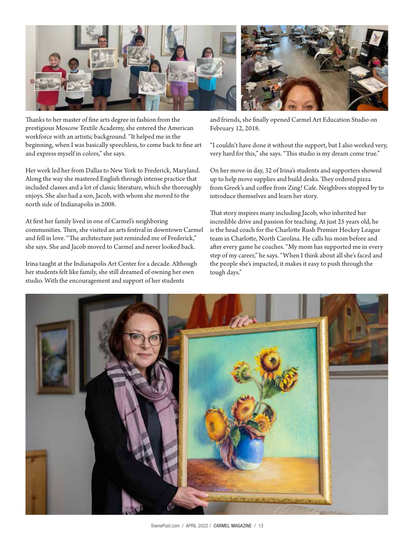

Thanks to her master of fine arts degree in fashion from the prestigious Moscow Textile Academy, she entered the American workforce with an artistic background. "It helped me in the beginning, when I was basically speechless, to come back to fine art and express myself in colors," she says.

Her work led her from Dallas to New York to Frederick, Maryland. Along the way she mastered English through intense practice that included classes and a lot of classic literature, which she thoroughly enjoys. She also had a son, Jacob, with whom she moved to the north side of Indianapolis in 2008.

At first her family lived in one of Carmel's neighboring communities. Then, she visited an arts festival in downtown Carmel and fell in love. "The architecture just reminded me of Frederick," she says. She and Jacob moved to Carmel and never looked back.

Irina taught at the Indianapolis Art Center for a decade. Although her students felt like family, she still dreamed of owning her own studio. With the encouragement and support of her students

and friends, she finally opened Carmel Art Education Studio on February 12, 2018.

"I couldn't have done it without the support, but I also worked very, very hard for this," she says. "This studio is my dream come true."

On her move-in day, 32 of Irina's students and supporters showed up to help move supplies and build desks. They ordered pizza from Greek's and coffee from Zing! Cafe. Neighbors stopped by to introduce themselves and learn her story.

That story inspires many including Jacob, who inherited her incredible drive and passion for teaching. At just 25 years old, he is the head coach for the Charlotte Rush Premier Hockey League team in Charlotte, North Carolina. He calls his mom before and after every game he coaches. "My mom has supported me in every step of my career," he says. "When I think about all she's faced and the people she's impacted, it makes it easy to push through the tough days."